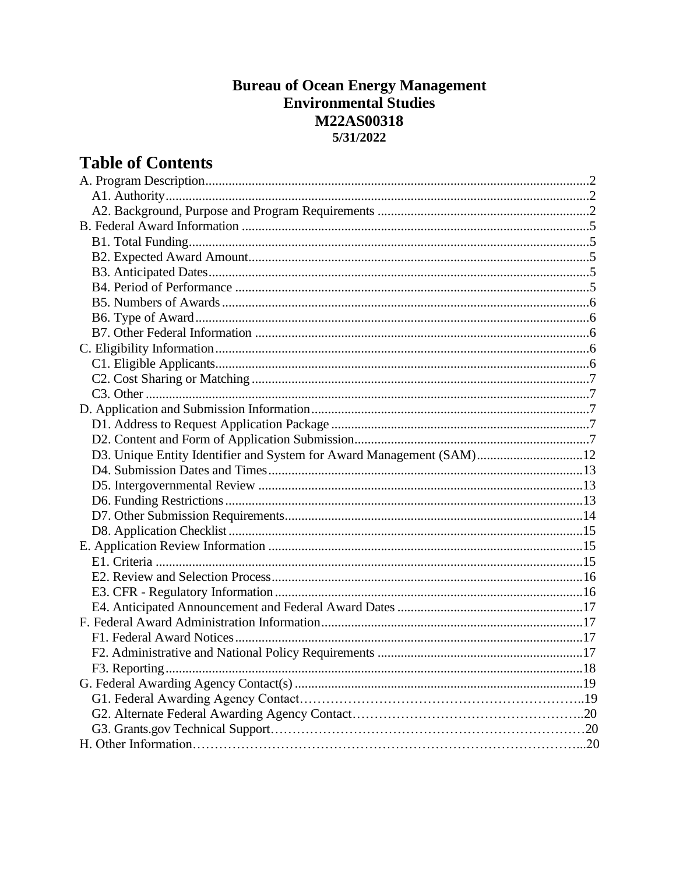# **Bureau of Ocean Energy Management Environmental Studies M22AS00318** 5/31/2022

# **Table of Contents**

| D3. Unique Entity Identifier and System for Award Management (SAM)12 |  |
|----------------------------------------------------------------------|--|
|                                                                      |  |
|                                                                      |  |
|                                                                      |  |
|                                                                      |  |
|                                                                      |  |
|                                                                      |  |
|                                                                      |  |
|                                                                      |  |
|                                                                      |  |
|                                                                      |  |
|                                                                      |  |
|                                                                      |  |
|                                                                      |  |
|                                                                      |  |
|                                                                      |  |
|                                                                      |  |
|                                                                      |  |
|                                                                      |  |
|                                                                      |  |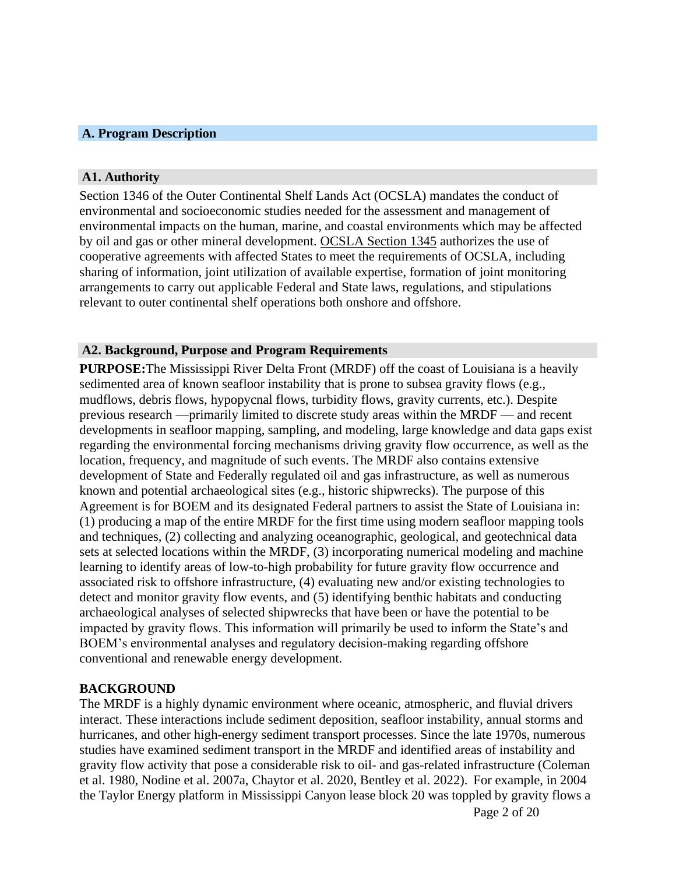#### **A. Program Description**

#### **A1. Authority**

Section 1346 of the Outer Continental Shelf Lands Act (OCSLA) mandates the conduct of environmental and socioeconomic studies needed for the assessment and management of environmental impacts on the human, marine, and coastal environments which may be affected by oil and gas or other mineral development. OCSLA Section 1345 authorizes the use of cooperative agreements with affected States to meet the requirements of OCSLA, including sharing of information, joint utilization of available expertise, formation of joint monitoring arrangements to carry out applicable Federal and State laws, regulations, and stipulations relevant to outer continental shelf operations both onshore and offshore.

#### **A2. Background, Purpose and Program Requirements**

**PURPOSE:**The Mississippi River Delta Front (MRDF) off the coast of Louisiana is a heavily sedimented area of known seafloor instability that is prone to subsea gravity flows (e.g., mudflows, debris flows, hypopycnal flows, turbidity flows, gravity currents, etc.). Despite previous research —primarily limited to discrete study areas within the MRDF — and recent developments in seafloor mapping, sampling, and modeling, large knowledge and data gaps exist regarding the environmental forcing mechanisms driving gravity flow occurrence, as well as the location, frequency, and magnitude of such events. The MRDF also contains extensive development of State and Federally regulated oil and gas infrastructure, as well as numerous known and potential archaeological sites (e.g., historic shipwrecks). The purpose of this Agreement is for BOEM and its designated Federal partners to assist the State of Louisiana in: (1) producing a map of the entire MRDF for the first time using modern seafloor mapping tools and techniques, (2) collecting and analyzing oceanographic, geological, and geotechnical data sets at selected locations within the MRDF, (3) incorporating numerical modeling and machine learning to identify areas of low-to-high probability for future gravity flow occurrence and associated risk to offshore infrastructure, (4) evaluating new and/or existing technologies to detect and monitor gravity flow events, and (5) identifying benthic habitats and conducting archaeological analyses of selected shipwrecks that have been or have the potential to be impacted by gravity flows. This information will primarily be used to inform the State's and BOEM's environmental analyses and regulatory decision-making regarding offshore conventional and renewable energy development.

#### **BACKGROUND**

The MRDF is a highly dynamic environment where oceanic, atmospheric, and fluvial drivers interact. These interactions include sediment deposition, seafloor instability, annual storms and hurricanes, and other high-energy sediment transport processes. Since the late 1970s, numerous studies have examined sediment transport in the MRDF and identified areas of instability and gravity flow activity that pose a considerable risk to oil- and gas-related infrastructure (Coleman et al. 1980, Nodine et al. 2007a, Chaytor et al. 2020, Bentley et al. 2022). For example, in 2004 the Taylor Energy platform in Mississippi Canyon lease block 20 was toppled by gravity flows a

Page 2 of 20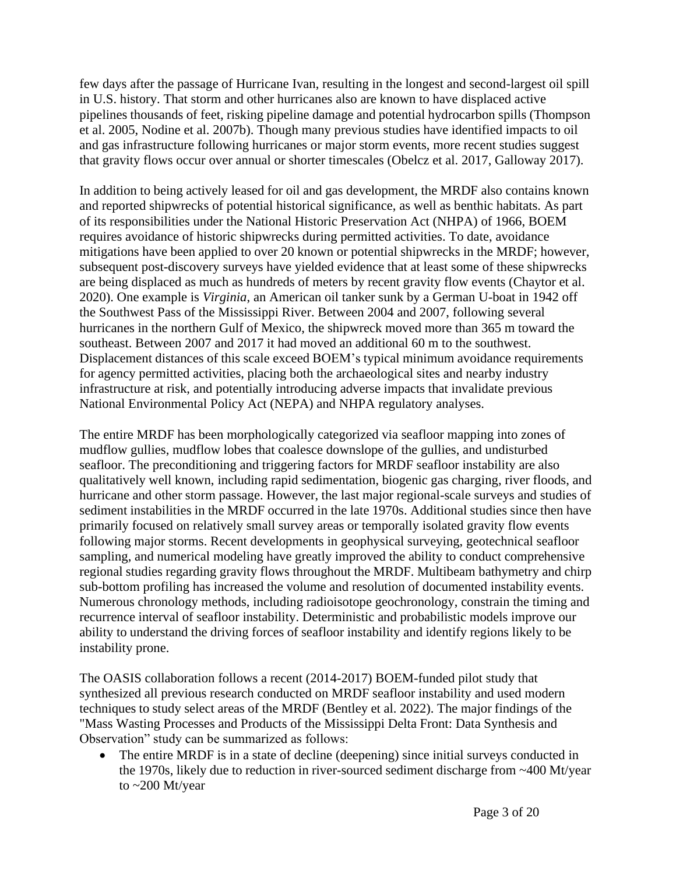few days after the passage of Hurricane Ivan, resulting in the longest and second-largest oil spill in U.S. history. That storm and other hurricanes also are known to have displaced active pipelines thousands of feet, risking pipeline damage and potential hydrocarbon spills (Thompson et al. 2005, Nodine et al. 2007b). Though many previous studies have identified impacts to oil and gas infrastructure following hurricanes or major storm events, more recent studies suggest that gravity flows occur over annual or shorter timescales (Obelcz et al. 2017, Galloway 2017).

In addition to being actively leased for oil and gas development, the MRDF also contains known and reported shipwrecks of potential historical significance, as well as benthic habitats. As part of its responsibilities under the National Historic Preservation Act (NHPA) of 1966, BOEM requires avoidance of historic shipwrecks during permitted activities. To date, avoidance mitigations have been applied to over 20 known or potential shipwrecks in the MRDF; however, subsequent post-discovery surveys have yielded evidence that at least some of these shipwrecks are being displaced as much as hundreds of meters by recent gravity flow events (Chaytor et al. 2020). One example is *Virginia*, an American oil tanker sunk by a German U-boat in 1942 off the Southwest Pass of the Mississippi River. Between 2004 and 2007, following several hurricanes in the northern Gulf of Mexico, the shipwreck moved more than 365 m toward the southeast. Between 2007 and 2017 it had moved an additional 60 m to the southwest. Displacement distances of this scale exceed BOEM's typical minimum avoidance requirements for agency permitted activities, placing both the archaeological sites and nearby industry infrastructure at risk, and potentially introducing adverse impacts that invalidate previous National Environmental Policy Act (NEPA) and NHPA regulatory analyses.

The entire MRDF has been morphologically categorized via seafloor mapping into zones of mudflow gullies, mudflow lobes that coalesce downslope of the gullies, and undisturbed seafloor. The preconditioning and triggering factors for MRDF seafloor instability are also qualitatively well known, including rapid sedimentation, biogenic gas charging, river floods, and hurricane and other storm passage. However, the last major regional-scale surveys and studies of sediment instabilities in the MRDF occurred in the late 1970s. Additional studies since then have primarily focused on relatively small survey areas or temporally isolated gravity flow events following major storms. Recent developments in geophysical surveying, geotechnical seafloor sampling, and numerical modeling have greatly improved the ability to conduct comprehensive regional studies regarding gravity flows throughout the MRDF. Multibeam bathymetry and chirp sub-bottom profiling has increased the volume and resolution of documented instability events. Numerous chronology methods, including radioisotope geochronology, constrain the timing and recurrence interval of seafloor instability. Deterministic and probabilistic models improve our ability to understand the driving forces of seafloor instability and identify regions likely to be instability prone.

The OASIS collaboration follows a recent (2014-2017) BOEM-funded pilot study that synthesized all previous research conducted on MRDF seafloor instability and used modern techniques to study select areas of the MRDF (Bentley et al. 2022). The major findings of the "Mass Wasting Processes and Products of the Mississippi Delta Front: Data Synthesis and Observation" study can be summarized as follows:

• The entire MRDF is in a state of decline (deepening) since initial surveys conducted in the 1970s, likely due to reduction in river-sourced sediment discharge from ~400 Mt/year to ~200 Mt/year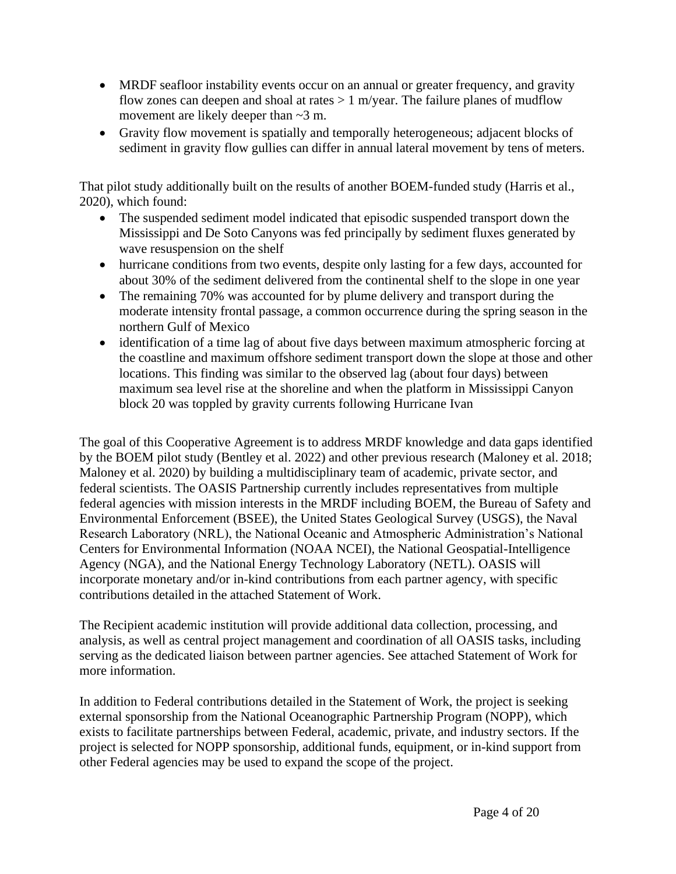- MRDF seafloor instability events occur on an annual or greater frequency, and gravity flow zones can deepen and shoal at rates  $> 1$  m/year. The failure planes of mudflow movement are likely deeper than ~3 m.
- Gravity flow movement is spatially and temporally heterogeneous; adjacent blocks of sediment in gravity flow gullies can differ in annual lateral movement by tens of meters.

That pilot study additionally built on the results of another BOEM-funded study (Harris et al., 2020), which found:

- The suspended sediment model indicated that episodic suspended transport down the Mississippi and De Soto Canyons was fed principally by sediment fluxes generated by wave resuspension on the shelf
- hurricane conditions from two events, despite only lasting for a few days, accounted for about 30% of the sediment delivered from the continental shelf to the slope in one year
- The remaining 70% was accounted for by plume delivery and transport during the moderate intensity frontal passage, a common occurrence during the spring season in the northern Gulf of Mexico
- identification of a time lag of about five days between maximum atmospheric forcing at the coastline and maximum offshore sediment transport down the slope at those and other locations. This finding was similar to the observed lag (about four days) between maximum sea level rise at the shoreline and when the platform in Mississippi Canyon block 20 was toppled by gravity currents following Hurricane Ivan

The goal of this Cooperative Agreement is to address MRDF knowledge and data gaps identified by the BOEM pilot study (Bentley et al. 2022) and other previous research (Maloney et al. 2018; Maloney et al. 2020) by building a multidisciplinary team of academic, private sector, and federal scientists. The OASIS Partnership currently includes representatives from multiple federal agencies with mission interests in the MRDF including BOEM, the Bureau of Safety and Environmental Enforcement (BSEE), the United States Geological Survey (USGS), the Naval Research Laboratory (NRL), the National Oceanic and Atmospheric Administration's National Centers for Environmental Information (NOAA NCEI), the National Geospatial-Intelligence Agency (NGA), and the National Energy Technology Laboratory (NETL). OASIS will incorporate monetary and/or in-kind contributions from each partner agency, with specific contributions detailed in the attached Statement of Work.

The Recipient academic institution will provide additional data collection, processing, and analysis, as well as central project management and coordination of all OASIS tasks, including serving as the dedicated liaison between partner agencies. See attached Statement of Work for more information.

In addition to Federal contributions detailed in the Statement of Work, the project is seeking external sponsorship from the National Oceanographic Partnership Program (NOPP), which exists to facilitate partnerships between Federal, academic, private, and industry sectors. If the project is selected for NOPP sponsorship, additional funds, equipment, or in-kind support from other Federal agencies may be used to expand the scope of the project.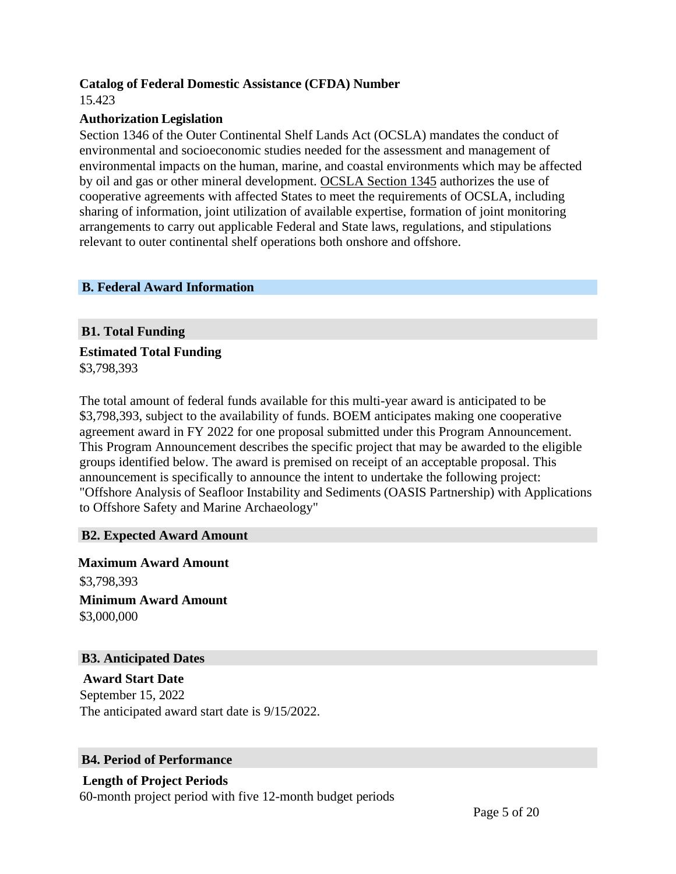## **Catalog of Federal Domestic Assistance (CFDA) Number**

15.423

## **Authorization Legislation**

Section 1346 of the Outer Continental Shelf Lands Act (OCSLA) mandates the conduct of environmental and socioeconomic studies needed for the assessment and management of environmental impacts on the human, marine, and coastal environments which may be affected by oil and gas or other mineral development. OCSLA Section 1345 authorizes the use of cooperative agreements with affected States to meet the requirements of OCSLA, including sharing of information, joint utilization of available expertise, formation of joint monitoring arrangements to carry out applicable Federal and State laws, regulations, and stipulations relevant to outer continental shelf operations both onshore and offshore.

## **B. Federal Award Information**

# **B1. Total Funding**

**Estimated Total Funding** \$3,798,393

The total amount of federal funds available for this multi-year award is anticipated to be \$3,798,393, subject to the availability of funds. BOEM anticipates making one cooperative agreement award in FY 2022 for one proposal submitted under this Program Announcement. This Program Announcement describes the specific project that may be awarded to the eligible groups identified below. The award is premised on receipt of an acceptable proposal. This announcement is specifically to announce the intent to undertake the following project: "Offshore Analysis of Seafloor Instability and Sediments (OASIS Partnership) with Applications to Offshore Safety and Marine Archaeology"

# **B2. Expected Award Amount**

**Maximum Award Amount** \$3,798,393 **Minimum Award Amount** \$3,000,000

# **B3. Anticipated Dates**

**Award Start Date** September 15, 2022 The anticipated award start date is 9/15/2022.

# **B4. Period of Performance**

**Length of Project Periods** 60-month project period with five 12-month budget periods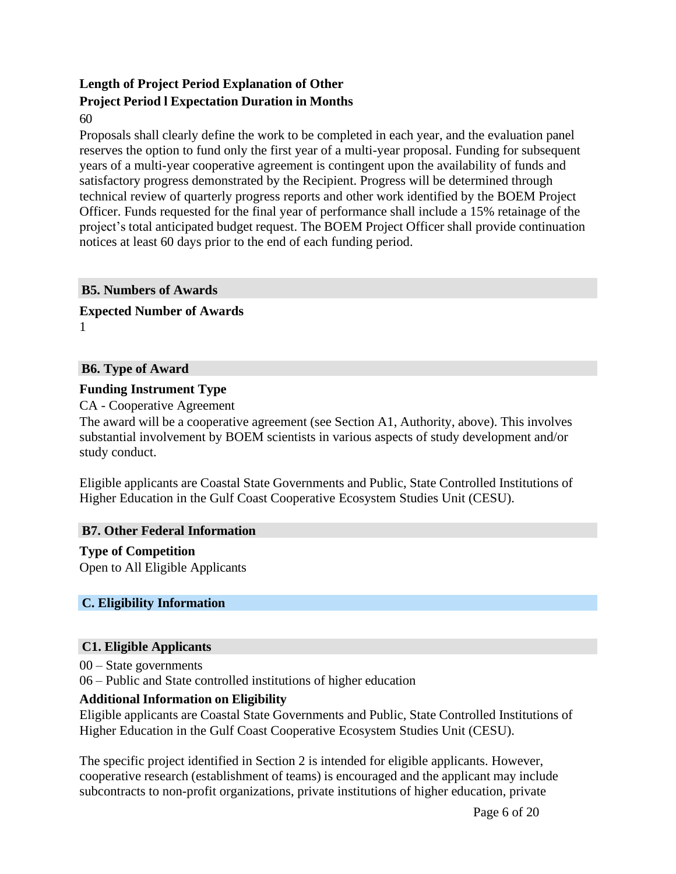# **Length of Project Period Explanation of Other Project Period l Expectation Duration in Months**

60

Proposals shall clearly define the work to be completed in each year, and the evaluation panel reserves the option to fund only the first year of a multi-year proposal. Funding for subsequent years of a multi-year cooperative agreement is contingent upon the availability of funds and satisfactory progress demonstrated by the Recipient. Progress will be determined through technical review of quarterly progress reports and other work identified by the BOEM Project Officer. Funds requested for the final year of performance shall include a 15% retainage of the project's total anticipated budget request. The BOEM Project Officer shall provide continuation notices at least 60 days prior to the end of each funding period.

#### **B5. Numbers of Awards**

**Expected Number of Awards** 1

## **B6. Type of Award**

#### **Funding Instrument Type**

CA - Cooperative Agreement

The award will be a cooperative agreement (see Section A1, Authority, above). This involves substantial involvement by BOEM scientists in various aspects of study development and/or study conduct.

Eligible applicants are Coastal State Governments and Public, State Controlled Institutions of Higher Education in the Gulf Coast Cooperative Ecosystem Studies Unit (CESU).

#### **B7. Other Federal Information**

# **Type of Competition**

Open to All Eligible Applicants

#### **C. Eligibility Information**

#### **C1. Eligible Applicants**

00 – State governments

06 – Public and State controlled institutions of higher education

#### **Additional Information on Eligibility**

Eligible applicants are Coastal State Governments and Public, State Controlled Institutions of Higher Education in the Gulf Coast Cooperative Ecosystem Studies Unit (CESU).

The specific project identified in Section 2 is intended for eligible applicants. However, cooperative research (establishment of teams) is encouraged and the applicant may include subcontracts to non-profit organizations, private institutions of higher education, private

Page 6 of 20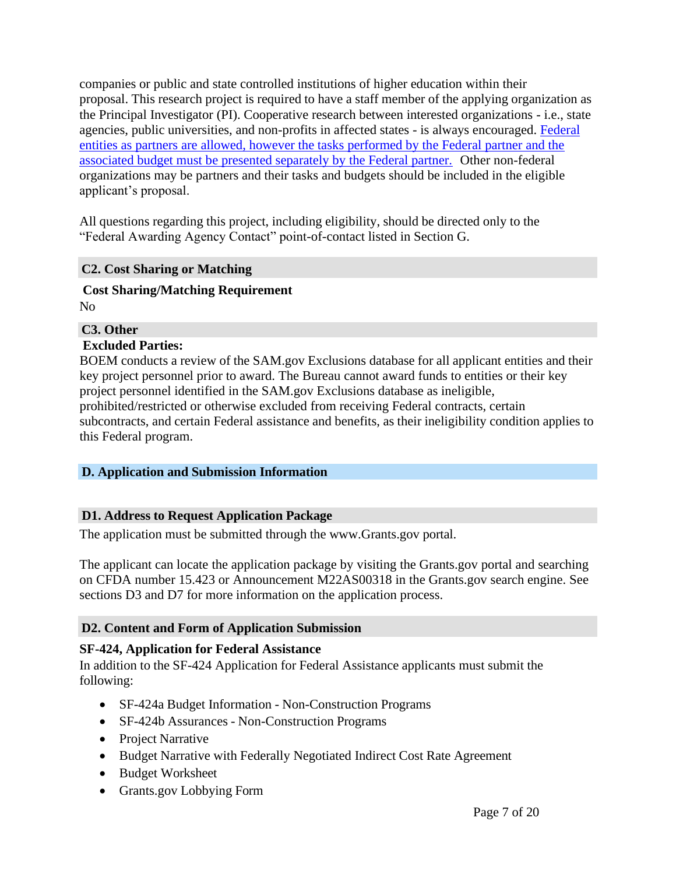companies or public and state controlled institutions of higher education within their proposal. This research project is required to have a staff member of the applying organization as the Principal Investigator (PI). Cooperative research between interested organizations - i.e., state agencies, public universities, and non-profits in affected states - is always encouraged. Federal entities as partners are allowed, however the tasks performed by the Federal partner and the associated budget must be presented separately by the Federal partner. Other non-federal organizations may be partners and their tasks and budgets should be included in the eligible applicant's proposal.

All questions regarding this project, including eligibility, should be directed only to the "Federal Awarding Agency Contact" point-of-contact listed in Section G.

# **C2. Cost Sharing or Matching**

# **Cost Sharing/Matching Requirement**

No

# **C3. Other**

# **Excluded Parties:**

BOEM conducts a review of the SAM.gov Exclusions database for all applicant entities and their key project personnel prior to award. The Bureau cannot award funds to entities or their key project personnel identified in the SAM.gov Exclusions database as ineligible, prohibited/restricted or otherwise excluded from receiving Federal contracts, certain subcontracts, and certain Federal assistance and benefits, as their ineligibility condition applies to this Federal program.

# **D. Application and Submission Information**

# **D1. Address to Request Application Package**

The application must be submitted through the [www.Grants.gov](http://www.grants.gov/) portal.

The applicant can locate the application package by visiting the Grants.gov portal and searching on CFDA number 15.423 or Announcement M22AS00318 in the Grants.gov search engine. See sections D3 and D7 for more information on the application process.

# **D2. Content and Form of Application Submission**

# **SF-424, Application for Federal Assistance**

In addition to the SF-424 Application for Federal Assistance applicants must submit the following:

- SF-424a Budget Information Non-Construction Programs
- SF-424b Assurances Non-Construction Programs
- Project Narrative
- Budget Narrative with Federally Negotiated Indirect Cost Rate Agreement
- Budget Worksheet
- Grants.gov Lobbying Form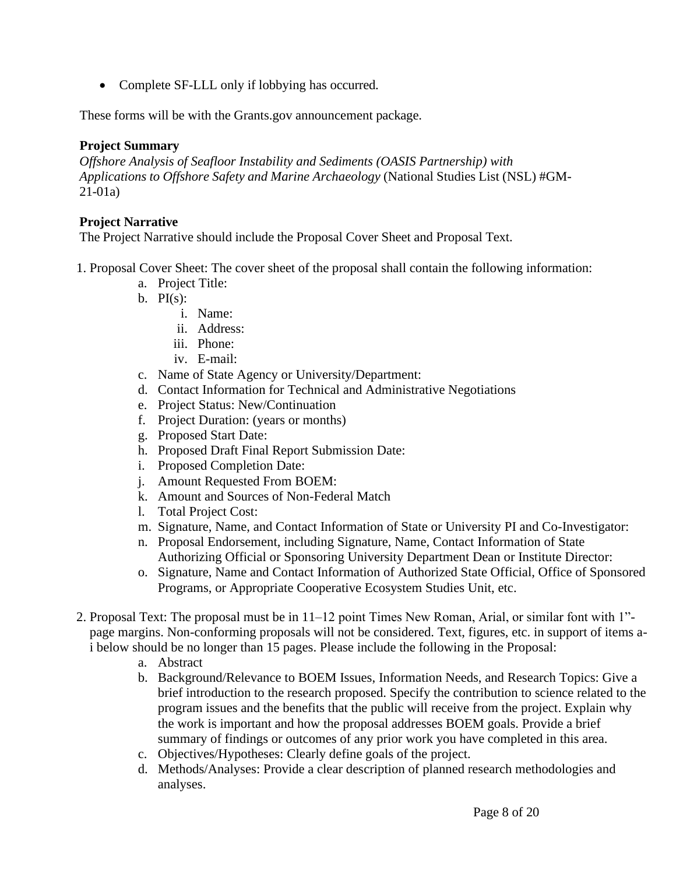• Complete SF-LLL only if lobbying has occurred.

These forms will be with the Grants.gov announcement package.

## **Project Summary**

*Offshore Analysis of Seafloor Instability and Sediments (OASIS Partnership) with Applications to Offshore Safety and Marine Archaeology* (National Studies List (NSL) #GM-21-01a)

## **Project Narrative**

The Project Narrative should include the Proposal Cover Sheet and Proposal Text.

- 1. Proposal Cover Sheet: The cover sheet of the proposal shall contain the following information:
	- a. Project Title:
	- b.  $PI(s)$ :
		- i. Name:
		- ii. Address:
		- iii. Phone:
		- iv. E-mail:
	- c. Name of State Agency or University/Department:
	- d. Contact Information for Technical and Administrative Negotiations
	- e. Project Status: New/Continuation
	- f. Project Duration: (years or months)
	- g. Proposed Start Date:
	- h. Proposed Draft Final Report Submission Date:
	- i. Proposed Completion Date:
	- j. Amount Requested From BOEM:
	- k. Amount and Sources of Non-Federal Match
	- l. Total Project Cost:
	- m. Signature, Name, and Contact Information of State or University PI and Co-Investigator:
	- n. Proposal Endorsement, including Signature, Name, Contact Information of State Authorizing Official or Sponsoring University Department Dean or Institute Director:
	- o. Signature, Name and Contact Information of Authorized State Official, Office of Sponsored Programs, or Appropriate Cooperative Ecosystem Studies Unit, etc.
- 2. Proposal Text: The proposal must be in 11–12 point Times New Roman, Arial, or similar font with 1" page margins. Non-conforming proposals will not be considered. Text, figures, etc. in support of items ai below should be no longer than 15 pages. Please include the following in the Proposal:
	- a. Abstract
	- b. Background/Relevance to BOEM Issues, Information Needs, and Research Topics: Give a brief introduction to the research proposed. Specify the contribution to science related to the program issues and the benefits that the public will receive from the project. Explain why the work is important and how the proposal addresses BOEM goals. Provide a brief summary of findings or outcomes of any prior work you have completed in this area.
	- c. Objectives/Hypotheses: Clearly define goals of the project.
	- d. Methods/Analyses: Provide a clear description of planned research methodologies and analyses.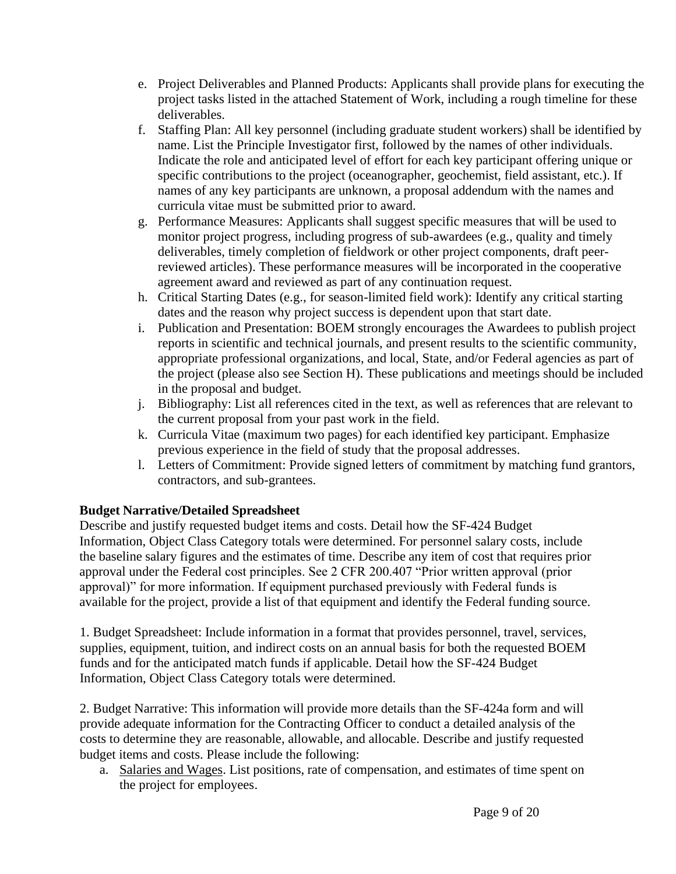- e. Project Deliverables and Planned Products: Applicants shall provide plans for executing the project tasks listed in the attached Statement of Work, including a rough timeline for these deliverables.
- f. Staffing Plan: All key personnel (including graduate student workers) shall be identified by name. List the Principle Investigator first, followed by the names of other individuals. Indicate the role and anticipated level of effort for each key participant offering unique or specific contributions to the project (oceanographer, geochemist, field assistant, etc.). If names of any key participants are unknown, a proposal addendum with the names and curricula vitae must be submitted prior to award.
- g. Performance Measures: Applicants shall suggest specific measures that will be used to monitor project progress, including progress of sub-awardees (e.g., quality and timely deliverables, timely completion of fieldwork or other project components, draft peerreviewed articles). These performance measures will be incorporated in the cooperative agreement award and reviewed as part of any continuation request.
- h. Critical Starting Dates (e.g., for season-limited field work): Identify any critical starting dates and the reason why project success is dependent upon that start date.
- i. Publication and Presentation: BOEM strongly encourages the Awardees to publish project reports in scientific and technical journals, and present results to the scientific community, appropriate professional organizations, and local, State, and/or Federal agencies as part of the project (please also see Section H). These publications and meetings should be included in the proposal and budget.
- j. Bibliography: List all references cited in the text, as well as references that are relevant to the current proposal from your past work in the field.
- k. Curricula Vitae (maximum two pages) for each identified key participant. Emphasize previous experience in the field of study that the proposal addresses.
- l. Letters of Commitment: Provide signed letters of commitment by matching fund grantors, contractors, and sub-grantees.

# **Budget Narrative/Detailed Spreadsheet**

Describe and justify requested budget items and costs. Detail how the SF-424 Budget Information, Object Class Category totals were determined. For personnel salary costs, include the baseline salary figures and the estimates of time. Describe any item of cost that requires prior approval under the Federal cost principles. See 2 CFR 200.407 "Prior written approval (prior approval)" for more information. If equipment purchased previously with Federal funds is available for the project, provide a list of that equipment and identify the Federal funding source.

1. Budget Spreadsheet: Include information in a format that provides personnel, travel, services, supplies, equipment, tuition, and indirect costs on an annual basis for both the requested BOEM funds and for the anticipated match funds if applicable. Detail how the SF-424 Budget Information, Object Class Category totals were determined.

2. Budget Narrative: This information will provide more details than the SF-424a form and will provide adequate information for the Contracting Officer to conduct a detailed analysis of the costs to determine they are reasonable, allowable, and allocable. Describe and justify requested budget items and costs. Please include the following:

a. Salaries and Wages. List positions, rate of compensation, and estimates of time spent on the project for employees.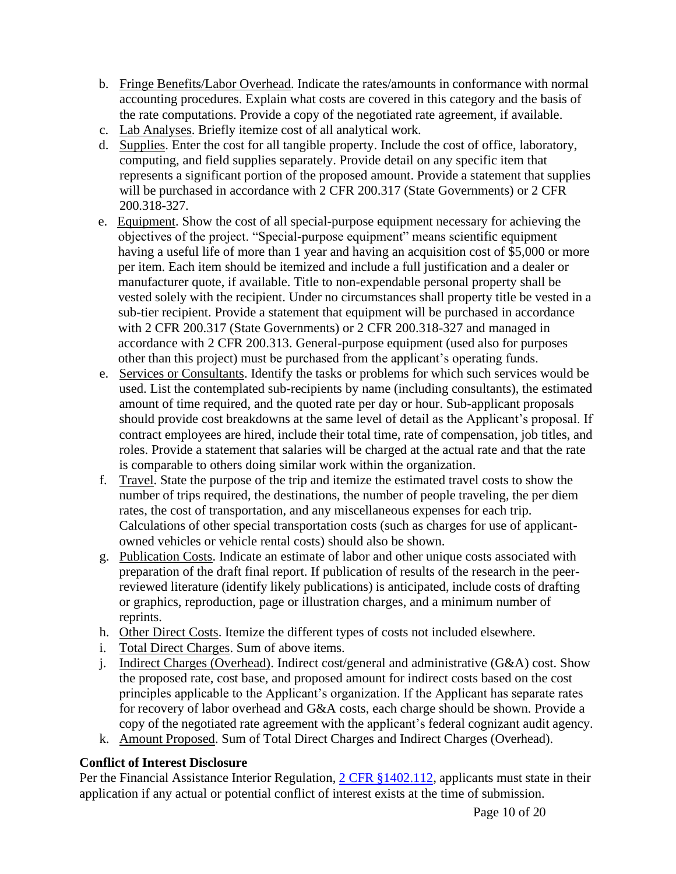- b. Fringe Benefits/Labor Overhead. Indicate the rates/amounts in conformance with normal accounting procedures. Explain what costs are covered in this category and the basis of the rate computations. Provide a copy of the negotiated rate agreement, if available.
- c. Lab Analyses. Briefly itemize cost of all analytical work.
- d. Supplies. Enter the cost for all tangible property. Include the cost of office, laboratory, computing, and field supplies separately. Provide detail on any specific item that represents a significant portion of the proposed amount. Provide a statement that supplies will be purchased in accordance with 2 CFR 200.317 (State Governments) or 2 CFR 200.318-327.
- e. Equipment. Show the cost of all special-purpose equipment necessary for achieving the objectives of the project. "Special-purpose equipment" means scientific equipment having a useful life of more than 1 year and having an acquisition cost of \$5,000 or more per item. Each item should be itemized and include a full justification and a dealer or manufacturer quote, if available. Title to non-expendable personal property shall be vested solely with the recipient. Under no circumstances shall property title be vested in a sub-tier recipient. Provide a statement that equipment will be purchased in accordance with 2 CFR 200.317 (State Governments) or 2 CFR 200.318-327 and managed in accordance with 2 CFR 200.313. General-purpose equipment (used also for purposes other than this project) must be purchased from the applicant's operating funds.
- e. Services or Consultants. Identify the tasks or problems for which such services would be used. List the contemplated sub-recipients by name (including consultants), the estimated amount of time required, and the quoted rate per day or hour. Sub-applicant proposals should provide cost breakdowns at the same level of detail as the Applicant's proposal. If contract employees are hired, include their total time, rate of compensation, job titles, and roles. Provide a statement that salaries will be charged at the actual rate and that the rate is comparable to others doing similar work within the organization.
- f. Travel. State the purpose of the trip and itemize the estimated travel costs to show the number of trips required, the destinations, the number of people traveling, the per diem rates, the cost of transportation, and any miscellaneous expenses for each trip. Calculations of other special transportation costs (such as charges for use of applicantowned vehicles or vehicle rental costs) should also be shown.
- g. Publication Costs. Indicate an estimate of labor and other unique costs associated with preparation of the draft final report. If publication of results of the research in the peerreviewed literature (identify likely publications) is anticipated, include costs of drafting or graphics, reproduction, page or illustration charges, and a minimum number of reprints.
- h. Other Direct Costs. Itemize the different types of costs not included elsewhere.
- i. Total Direct Charges. Sum of above items.
- j. Indirect Charges (Overhead). Indirect cost/general and administrative (G&A) cost. Show the proposed rate, cost base, and proposed amount for indirect costs based on the cost principles applicable to the Applicant's organization. If the Applicant has separate rates for recovery of labor overhead and G&A costs, each charge should be shown. Provide a copy of the negotiated rate agreement with the applicant's federal cognizant audit agency.
- k. Amount Proposed. Sum of Total Direct Charges and Indirect Charges (Overhead).

# **Conflict of Interest Disclosure**

Per the Financial Assistance Interior Regulation, 2 CFR [§1402.112,](https://www.ecfr.gov/cgi-bin/text-idx?SID=2cb9f6d1c1c131ed576a5e65845ef3fa&mc=true&node=se2.1.1402_1112&rgn=div8) applicants must state in their application if any actual or potential conflict of interest exists at the time of submission.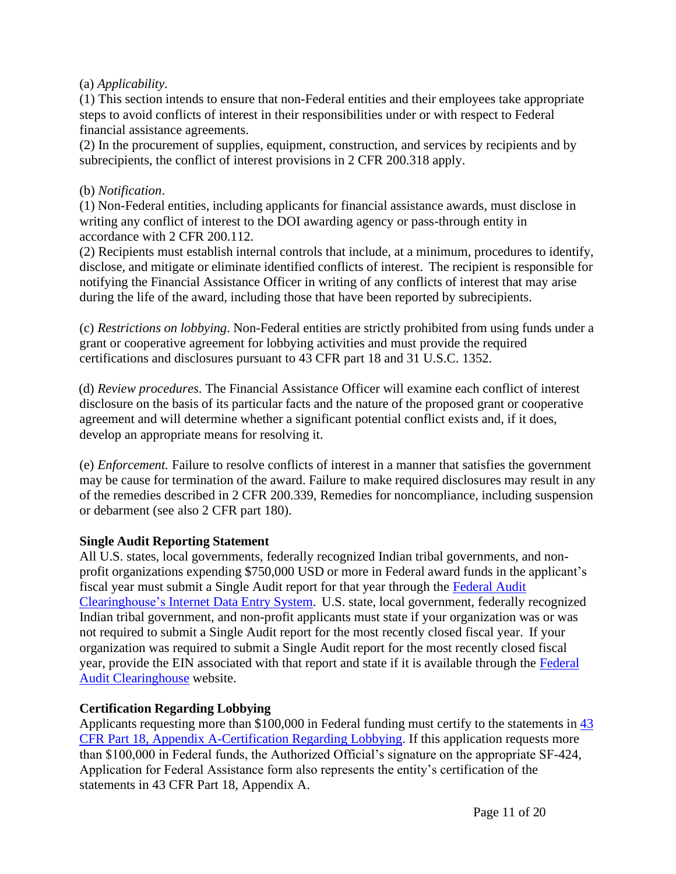## (a) *Applicability*.

(1) This section intends to ensure that non-Federal entities and their employees take appropriate steps to avoid conflicts of interest in their responsibilities under or with respect to Federal financial assistance agreements.

(2) In the procurement of supplies, equipment, construction, and services by recipients and by subrecipients, the conflict of interest provisions in 2 CFR 200.318 apply.

#### (b) *Notification*.

(1) Non-Federal entities, including applicants for financial assistance awards, must disclose in writing any conflict of interest to the DOI awarding agency or pass-through entity in accordance with 2 CFR 200.112.

(2) Recipients must establish internal controls that include, at a minimum, procedures to identify, disclose, and mitigate or eliminate identified conflicts of interest. The recipient is responsible for notifying the Financial Assistance Officer in writing of any conflicts of interest that may arise during the life of the award, including those that have been reported by subrecipients.

(c) *Restrictions on lobbying*. Non-Federal entities are strictly prohibited from using funds under a grant or cooperative agreement for lobbying activities and must provide the required certifications and disclosures pursuant to 43 CFR part 18 and 31 U.S.C. 1352.

(d) *Review procedures*. The Financial Assistance Officer will examine each conflict of interest disclosure on the basis of its particular facts and the nature of the proposed grant or cooperative agreement and will determine whether a significant potential conflict exists and, if it does, develop an appropriate means for resolving it.

(e) *Enforcement.* Failure to resolve conflicts of interest in a manner that satisfies the government may be cause for termination of the award. Failure to make required disclosures may result in any of the remedies described in 2 CFR 200.339, Remedies for noncompliance, including suspension or debarment (see also 2 CFR part 180).

# **Single Audit Reporting Statement**

All U.S. states, local governments, federally recognized Indian tribal governments, and nonprofit organizations expending \$750,000 USD or more in Federal award funds in the applicant's fiscal year must submit a Single Audit report for that year through the [Federal Audit](https://harvester.census.gov/facides/Account/Login.aspx) [Clearinghouse's](https://harvester.census.gov/facides/Account/Login.aspx) Internet Data Entry System. U.S. state, local government, federally recognized Indian tribal government, and non-profit applicants must state if your organization was or was not required to submit a Single Audit report for the most recently closed fiscal year. If your organization was required to submit a Single Audit report for the most recently closed fiscal year, provide the EIN associated with that report and state if it is available through the [Federal](https://harvester.census.gov/facdissem/Main.aspx) [Audit Clearinghouse](https://harvester.census.gov/facdissem/Main.aspx) website.

# **Certification Regarding Lobbying**

Applicants requesting more than \$100,000 in Federal funding must certify to the statements in [43](http://www.ecfr.gov/cgi-bin/text-idx?SID=683823273fc0da6a1060883eda593fb8&mc=true&node=pt43.1.18&rgn=div5) [CFR Part 18, Appendix A-Certification Regarding Lobbying.](http://www.ecfr.gov/cgi-bin/text-idx?SID=683823273fc0da6a1060883eda593fb8&mc=true&node=pt43.1.18&rgn=div5) If this application requests more than \$100,000 in Federal funds, the Authorized Official's signature on the appropriate SF-424, Application for Federal Assistance form also represents the entity's certification of the statements in 43 CFR Part 18, Appendix A.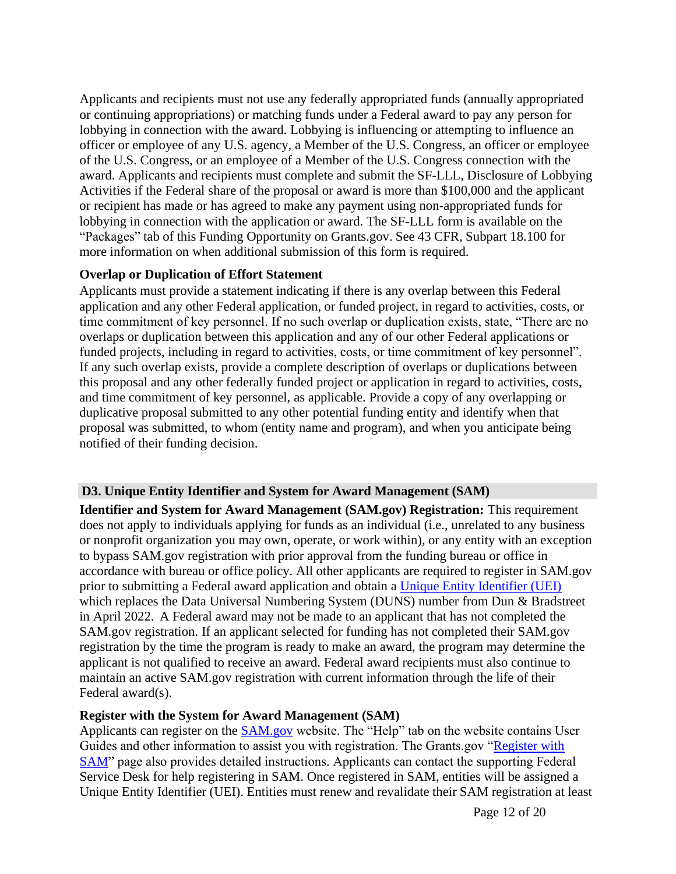Applicants and recipients must not use any federally appropriated funds (annually appropriated or continuing appropriations) or matching funds under a Federal award to pay any person for lobbying in connection with the award. Lobbying is influencing or attempting to influence an officer or employee of any U.S. agency, a Member of the U.S. Congress, an officer or employee of the U.S. Congress, or an employee of a Member of the U.S. Congress connection with the award. Applicants and recipients must complete and submit the SF-LLL, Disclosure of Lobbying Activities if the Federal share of the proposal or award is more than \$100,000 and the applicant or recipient has made or has agreed to make any payment using non-appropriated funds for lobbying in connection with the application or award. The SF-LLL form is available on the "Packages" tab of this Funding Opportunity on Grants.gov. See 43 CFR, Subpart 18.100 for more information on when additional submission of this form is required.

#### **Overlap or Duplication of Effort Statement**

Applicants must provide a statement indicating if there is any overlap between this Federal application and any other Federal application, or funded project, in regard to activities, costs, or time commitment of key personnel. If no such overlap or duplication exists, state, "There are no overlaps or duplication between this application and any of our other Federal applications or funded projects, including in regard to activities, costs, or time commitment of key personnel". If any such overlap exists, provide a complete description of overlaps or duplications between this proposal and any other federally funded project or application in regard to activities, costs, and time commitment of key personnel, as applicable. Provide a copy of any overlapping or duplicative proposal submitted to any other potential funding entity and identify when that proposal was submitted, to whom (entity name and program), and when you anticipate being notified of their funding decision.

# **D3. Unique Entity Identifier and System for Award Management (SAM)**

**Identifier and System for Award Management (SAM.gov) Registration:** This requirement does not apply to individuals applying for funds as an individual (i.e., unrelated to any business or nonprofit organization you may own, operate, or work within), or any entity with an exception to bypass SAM.gov registration with prior approval from the funding bureau or office in accordance with bureau or office policy. All other applicants are required to register in SAM.gov prior to submitting a Federal award application and obtain a [Unique Entity Identifier \(UEI\)](https://www.gsa.gov/about-us/organization/federal-acquisition-service/office-of-systems-management/integrated-award-environment-iae/iae-systems-information-kit/unique-entity-identifier-update) which replaces the Data Universal Numbering System (DUNS) number from Dun & Bradstreet in April 2022. A Federal award may not be made to an applicant that has not completed the SAM.gov registration. If an applicant selected for funding has not completed their SAM.gov registration by the time the program is ready to make an award, the program may determine the applicant is not qualified to receive an award. Federal award recipients must also continue to maintain an active SAM.gov registration with current information through the life of their Federal award(s).

#### **Register with the System for Award Management (SAM)**

Applicants can register on the [SAM.gov](http://www.sam.gov/) website. The "Help" tab on the website contains User Guides and other information to assist you with registration. The Grants.gov ["Register with](https://www.grants.gov/help/html/help/Register/RegisterWithSAM.htm) [SAM"](https://www.grants.gov/help/html/help/Register/RegisterWithSAM.htm) page also provides detailed instructions. Applicants can contact the supporting Federal Service Desk for help registering in SAM. Once registered in SAM, entities will be assigned a Unique Entity Identifier (UEI). Entities must renew and revalidate their SAM registration at least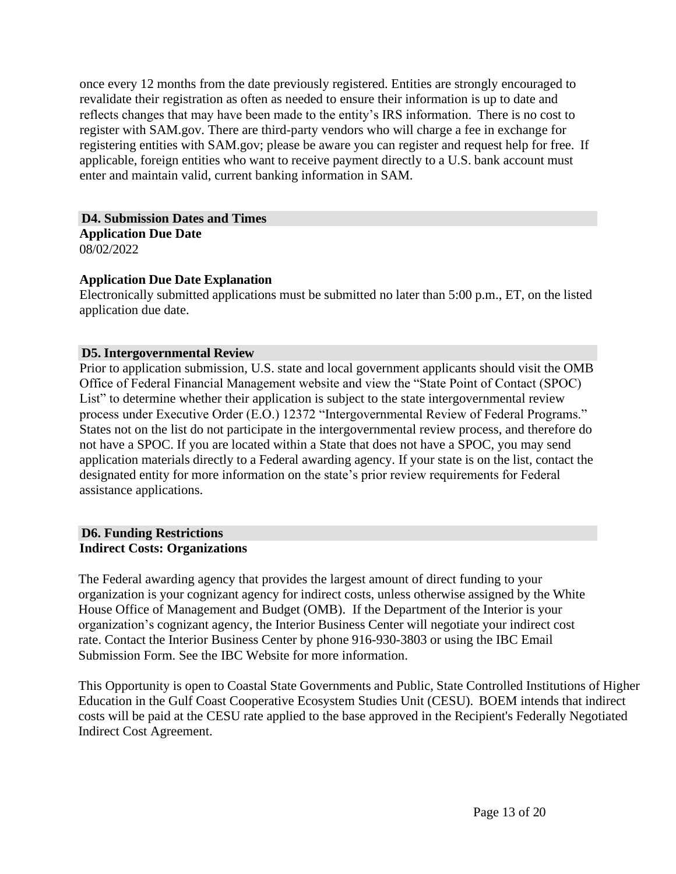once every 12 months from the date previously registered. Entities are strongly encouraged to revalidate their registration as often as needed to ensure their information is up to date and reflects changes that may have been made to the entity's IRS information. There is no cost to register with SAM.gov. There are third-party vendors who will charge a fee in exchange for registering entities with SAM.gov; please be aware you can register and request help for free. If applicable, foreign entities who want to receive payment directly to a U.S. bank account must enter and maintain valid, current banking information in SAM.

**D4. Submission Dates and Times**

**Application Due Date** 08/02/2022

# **Application Due Date Explanation**

Electronically submitted applications must be submitted no later than 5:00 p.m., ET, on the listed application due date.

# **D5. Intergovernmental Review**

Prior to application submission, U.S. state and local government applicants should visit the OMB Office of Federal Financial Management website and view the "State Point of Contact (SPOC) List" to determine whether their application is subject to the state intergovernmental review process under Executive Order (E.O.) 12372 "Intergovernmental Review of Federal Programs." States not on the list do not participate in the intergovernmental review process, and therefore do not have a SPOC. If you are located within a State that does not have a SPOC, you may send application materials directly to a Federal awarding agency. If your state is on the list, contact the designated entity for more information on the state's prior review requirements for Federal assistance applications.

#### **D6. Funding Restrictions Indirect Costs: Organizations**

The Federal awarding agency that provides the largest amount of direct funding to your organization is your cognizant agency for indirect costs, unless otherwise assigned by the White House Office of Management and Budget (OMB). If the Department of the Interior is your organization's cognizant agency, the Interior Business Center will negotiate your indirect cost rate. Contact the Interior Business Center by phone 916-930-3803 or using the IBC Email Submission Form. See the IBC Website for more information.

This Opportunity is open to Coastal State Governments and Public, State Controlled Institutions of Higher Education in the Gulf Coast Cooperative Ecosystem Studies Unit (CESU). BOEM intends that indirect costs will be paid at the CESU rate applied to the base approved in the Recipient's Federally Negotiated Indirect Cost Agreement.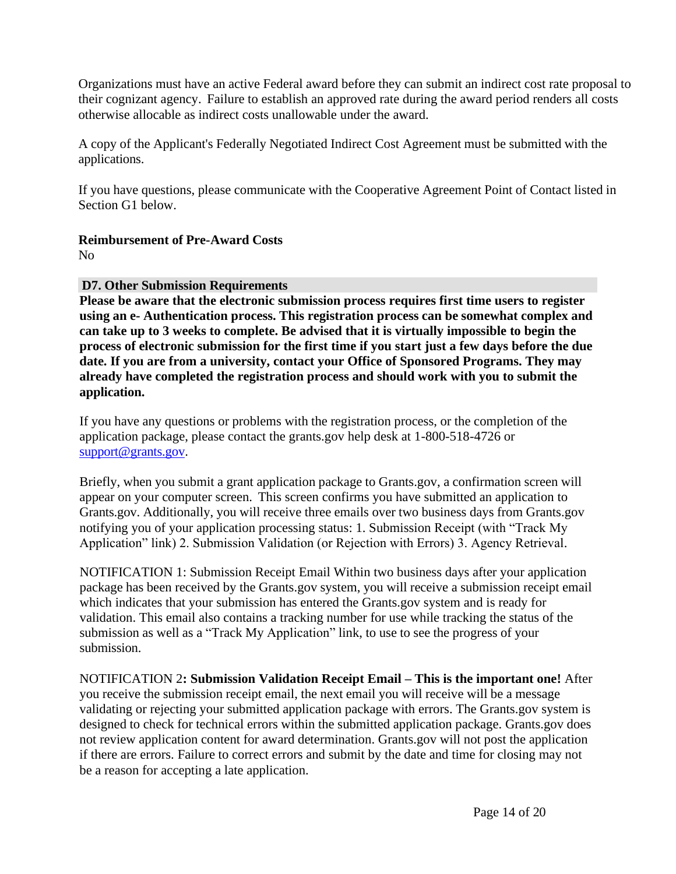Organizations must have an active Federal award before they can submit an indirect cost rate proposal to their cognizant agency. Failure to establish an approved rate during the award period renders all costs otherwise allocable as indirect costs unallowable under the award.

A copy of the Applicant's Federally Negotiated Indirect Cost Agreement must be submitted with the applications.

If you have questions, please communicate with the Cooperative Agreement Point of Contact listed in Section G1 below.

## **Reimbursement of Pre-Award Costs**

No

## **D7. Other Submission Requirements**

**Please be aware that the electronic submission process requires first time users to register using an e- Authentication process. This registration process can be somewhat complex and can take up to 3 weeks to complete. Be advised that it is virtually impossible to begin the process of electronic submission for the first time if you start just a few days before the due date. If you are from a university, contact your Office of Sponsored Programs. They may already have completed the registration process and should work with you to submit the application.**

If you have any questions or problems with the registration process, or the completion of the application package, please contact the grants.gov help desk at 1-800-518-4726 or [support@grants.gov.](mailto:support@grants.gov)

Briefly, when you submit a grant application package to Grants.gov, a confirmation screen will appear on your computer screen. This screen confirms you have submitted an application to Grants.gov. Additionally, you will receive three emails over two business days from Grants.gov notifying you of your application processing status: 1. Submission Receipt (with "Track My Application" link) 2. Submission Validation (or Rejection with Errors) 3. Agency Retrieval.

NOTIFICATION 1: Submission Receipt Email Within two business days after your application package has been received by the Grants.gov system, you will receive a submission receipt email which indicates that your submission has entered the Grants.gov system and is ready for validation. This email also contains a tracking number for use while tracking the status of the submission as well as a "Track My Application" link, to use to see the progress of your submission.

NOTIFICATION 2**: Submission Validation Receipt Email – This is the important one!** After you receive the submission receipt email, the next email you will receive will be a message validating or rejecting your submitted application package with errors. The Grants.gov system is designed to check for technical errors within the submitted application package. Grants.gov does not review application content for award determination. Grants.gov will not post the application if there are errors. Failure to correct errors and submit by the date and time for closing may not be a reason for accepting a late application.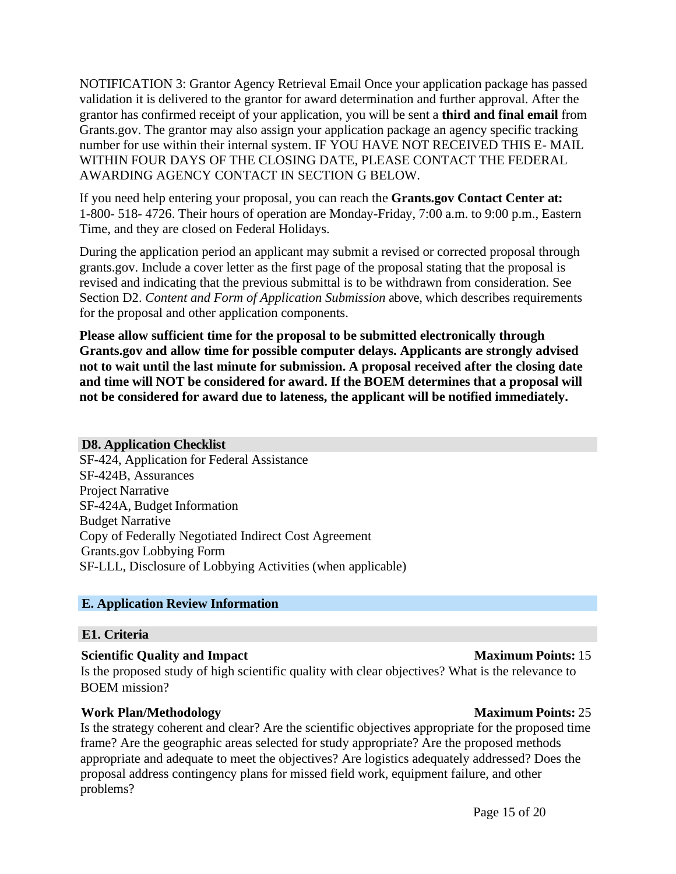NOTIFICATION 3: Grantor Agency Retrieval Email Once your application package has passed validation it is delivered to the grantor for award determination and further approval. After the grantor has confirmed receipt of your application, you will be sent a **third and final email** from Grants.gov. The grantor may also assign your application package an agency specific tracking number for use within their internal system. IF YOU HAVE NOT RECEIVED THIS E- MAIL WITHIN FOUR DAYS OF THE CLOSING DATE, PLEASE CONTACT THE FEDERAL AWARDING AGENCY CONTACT IN SECTION G BELOW.

If you need help entering your proposal, you can reach the **Grants.gov Contact Center at:** 1-800- 518- 4726. Their hours of operation are Monday-Friday, 7:00 a.m. to 9:00 p.m., Eastern Time, and they are closed on Federal Holidays.

During the application period an applicant may submit a revised or corrected proposal through grants.gov. Include a cover letter as the first page of the proposal stating that the proposal is revised and indicating that the previous submittal is to be withdrawn from consideration. See Section D2. *Content and Form of Application Submission* above, which describes requirements for the proposal and other application components.

**Please allow sufficient time for the proposal to be submitted electronically through Grants.gov and allow time for possible computer delays. Applicants are strongly advised not to wait until the last minute for submission. A proposal received after the closing date and time will NOT be considered for award. If the BOEM determines that a proposal will not be considered for award due to lateness, the applicant will be notified immediately.**

#### **D8. Application Checklist**

SF-424, Application for Federal Assistance SF-424B, Assurances Project Narrative SF-424A, Budget Information Budget Narrative Copy of Federally Negotiated Indirect Cost Agreement Grants.gov Lobbying Form SF-LLL, Disclosure of Lobbying Activities (when applicable)

# **E. Application Review Information**

#### **E1. Criteria**

#### **Scientific Quality and Impact Maximum Points:** 15

Is the proposed study of high scientific quality with clear objectives? What is the relevance to BOEM mission?

#### **Work Plan/Methodology Maximum Points:** 25

Is the strategy coherent and clear? Are the scientific objectives appropriate for the proposed time frame? Are the geographic areas selected for study appropriate? Are the proposed methods appropriate and adequate to meet the objectives? Are logistics adequately addressed? Does the proposal address contingency plans for missed field work, equipment failure, and other problems?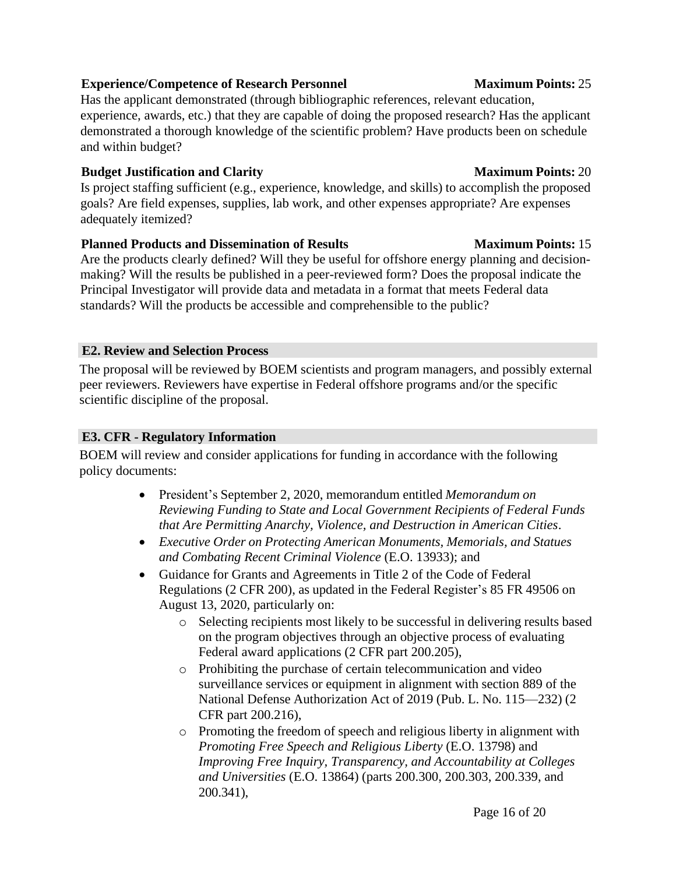# Page 16 of 20

#### **Experience/Competence of Research Personnel Maximum Points:** 25

Has the applicant demonstrated (through bibliographic references, relevant education, experience, awards, etc.) that they are capable of doing the proposed research? Has the applicant demonstrated a thorough knowledge of the scientific problem? Have products been on schedule and within budget?

#### **Budget Justification and Clarity 1986 Maximum Maximum Points:** 20

Is project staffing sufficient (e.g., experience, knowledge, and skills) to accomplish the proposed goals? Are field expenses, supplies, lab work, and other expenses appropriate? Are expenses adequately itemized?

## **Planned Products and Dissemination of Results Maximum Points:** 15

Are the products clearly defined? Will they be useful for offshore energy planning and decisionmaking? Will the results be published in a peer-reviewed form? Does the proposal indicate the Principal Investigator will provide data and metadata in a format that meets Federal data standards? Will the products be accessible and comprehensible to the public?

# **E2. Review and Selection Process**

The proposal will be reviewed by BOEM scientists and program managers, and possibly external peer reviewers. Reviewers have expertise in Federal offshore programs and/or the specific scientific discipline of the proposal.

# **E3. CFR - Regulatory Information**

BOEM will review and consider applications for funding in accordance with the following policy documents:

- President's September 2, 2020, memorandum entitled *Memorandum on Reviewing Funding to State and Local Government Recipients of Federal Funds that Are Permitting Anarchy, Violence, and Destruction in American Cities*.
- *Executive Order on Protecting American Monuments, Memorials, and Statues and Combating Recent Criminal Violence* (E.O. 13933); and
- Guidance for Grants and Agreements in Title 2 of the Code of Federal Regulations (2 CFR 200), as updated in the Federal Register's 85 FR 49506 on August 13, 2020, particularly on:
	- o Selecting recipients most likely to be successful in delivering results based on the program objectives through an objective process of evaluating Federal award applications (2 CFR part 200.205),
	- o Prohibiting the purchase of certain telecommunication and video surveillance services or equipment in alignment with section 889 of the National Defense Authorization Act of 2019 (Pub. L. No. 115—232) (2 CFR part 200.216),
	- o Promoting the freedom of speech and religious liberty in alignment with *Promoting Free Speech and Religious Liberty* (E.O. 13798) and *Improving Free Inquiry, Transparency, and Accountability at Colleges and Universities* (E.O. 13864) (parts 200.300, 200.303, 200.339, and 200.341),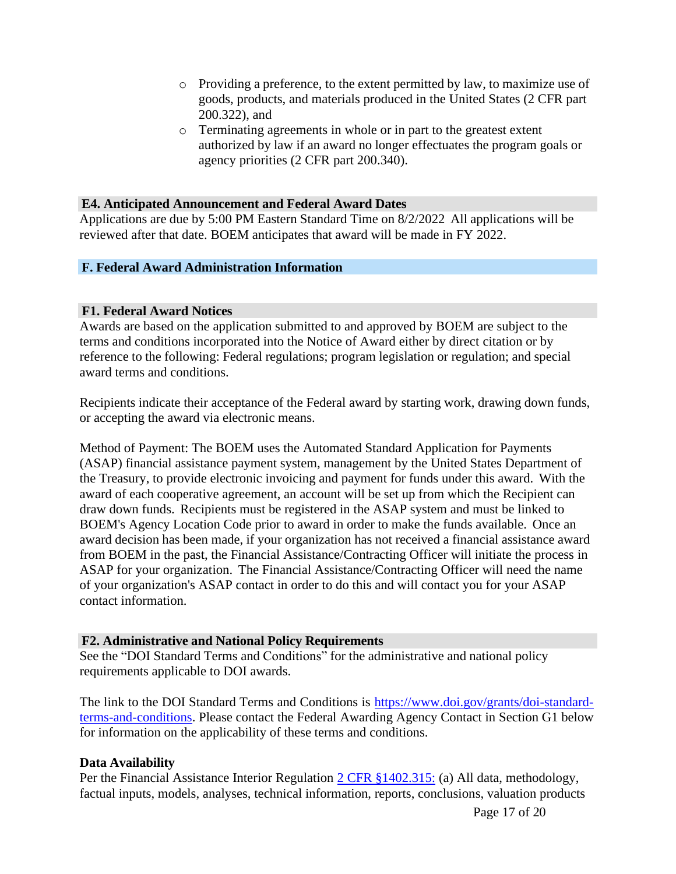- o Providing a preference, to the extent permitted by law, to maximize use of goods, products, and materials produced in the United States (2 CFR part 200.322), and
- o Terminating agreements in whole or in part to the greatest extent authorized by law if an award no longer effectuates the program goals or agency priorities (2 CFR part 200.340).

#### **E4. Anticipated Announcement and Federal Award Dates**

Applications are due by 5:00 PM Eastern Standard Time on 8/2/2022 All applications will be reviewed after that date. BOEM anticipates that award will be made in FY 2022.

#### **F. Federal Award Administration Information**

#### **F1. Federal Award Notices**

Awards are based on the application submitted to and approved by BOEM are subject to the terms and conditions incorporated into the Notice of Award either by direct citation or by reference to the following: Federal regulations; program legislation or regulation; and special award terms and conditions.

Recipients indicate their acceptance of the Federal award by starting work, drawing down funds, or accepting the award via electronic means.

Method of Payment: The BOEM uses the Automated Standard Application for Payments (ASAP) financial assistance payment system, management by the United States Department of the Treasury, to provide electronic invoicing and payment for funds under this award. With the award of each cooperative agreement, an account will be set up from which the Recipient can draw down funds. Recipients must be registered in the ASAP system and must be linked to BOEM's Agency Location Code prior to award in order to make the funds available. Once an award decision has been made, if your organization has not received a financial assistance award from BOEM in the past, the Financial Assistance/Contracting Officer will initiate the process in ASAP for your organization. The Financial Assistance/Contracting Officer will need the name of your organization's ASAP contact in order to do this and will contact you for your ASAP contact information.

#### **F2. Administrative and National Policy Requirements**

See the "DOI Standard Terms and Conditions" for the administrative and national policy requirements applicable to DOI awards.

The link to the DOI Standard Terms and Conditions is [https://www.doi.gov/grants/doi-standard](https://www.doi.gov/grants/doi-standard-terms-and-conditions)[terms-and-conditions.](https://www.doi.gov/grants/doi-standard-terms-and-conditions) Please contact the Federal Awarding Agency Contact in Section G1 below for information on the applicability of these terms and conditions.

#### **Data Availability**

Per the Financial Assistance Interior Regulation [2 CFR §1402.315:](https://www.ecfr.gov/cgi-bin/text-idx?SID=2cb9f6d1c1c131ed576a5e65845ef3fa&mc=true&node=se2.1.1402_1315&rgn=div8) (a) All data, methodology, factual inputs, models, analyses, technical information, reports, conclusions, valuation products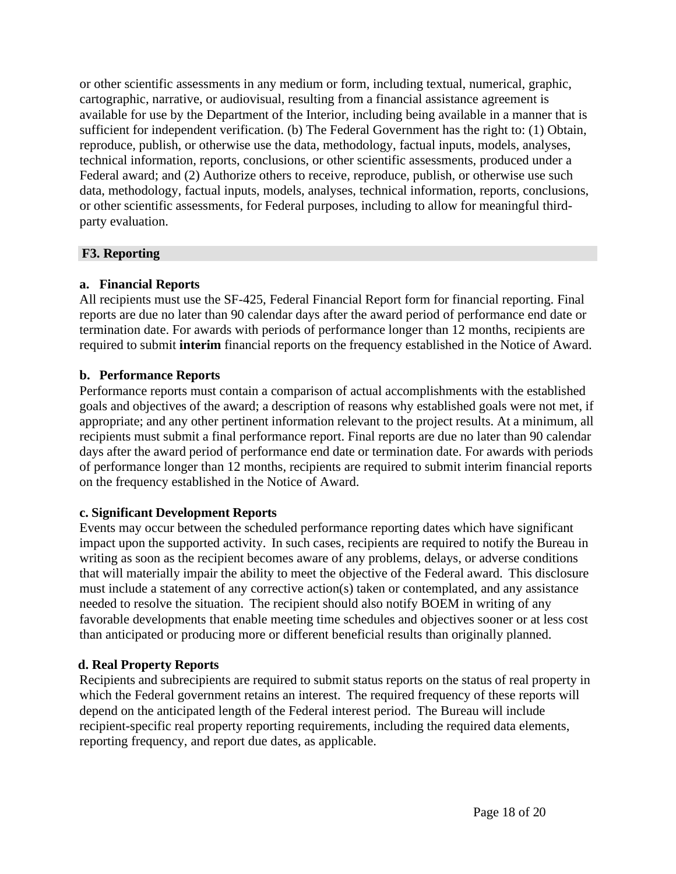or other scientific assessments in any medium or form, including textual, numerical, graphic, cartographic, narrative, or audiovisual, resulting from a financial assistance agreement is available for use by the Department of the Interior, including being available in a manner that is sufficient for independent verification. (b) The Federal Government has the right to: (1) Obtain, reproduce, publish, or otherwise use the data, methodology, factual inputs, models, analyses, technical information, reports, conclusions, or other scientific assessments, produced under a Federal award; and (2) Authorize others to receive, reproduce, publish, or otherwise use such data, methodology, factual inputs, models, analyses, technical information, reports, conclusions, or other scientific assessments, for Federal purposes, including to allow for meaningful thirdparty evaluation.

## **F3. Reporting**

## **a. Financial Reports**

All recipients must use the SF-425, Federal Financial Report form for financial reporting. Final reports are due no later than 90 calendar days after the award period of performance end date or termination date. For awards with periods of performance longer than 12 months, recipients are required to submit **interim** financial reports on the frequency established in the Notice of Award.

## **b. Performance Reports**

Performance reports must contain a comparison of actual accomplishments with the established goals and objectives of the award; a description of reasons why established goals were not met, if appropriate; and any other pertinent information relevant to the project results. At a minimum, all recipients must submit a final performance report. Final reports are due no later than 90 calendar days after the award period of performance end date or termination date. For awards with periods of performance longer than 12 months, recipients are required to submit interim financial reports on the frequency established in the Notice of Award.

#### **c. Significant Development Reports**

Events may occur between the scheduled performance reporting dates which have significant impact upon the supported activity. In such cases, recipients are required to notify the Bureau in writing as soon as the recipient becomes aware of any problems, delays, or adverse conditions that will materially impair the ability to meet the objective of the Federal award. This disclosure must include a statement of any corrective action(s) taken or contemplated, and any assistance needed to resolve the situation. The recipient should also notify BOEM in writing of any favorable developments that enable meeting time schedules and objectives sooner or at less cost than anticipated or producing more or different beneficial results than originally planned.

# **d. Real Property Reports**

Recipients and subrecipients are required to submit status reports on the status of real property in which the Federal government retains an interest. The required frequency of these reports will depend on the anticipated length of the Federal interest period. The Bureau will include recipient-specific real property reporting requirements, including the required data elements, reporting frequency, and report due dates, as applicable.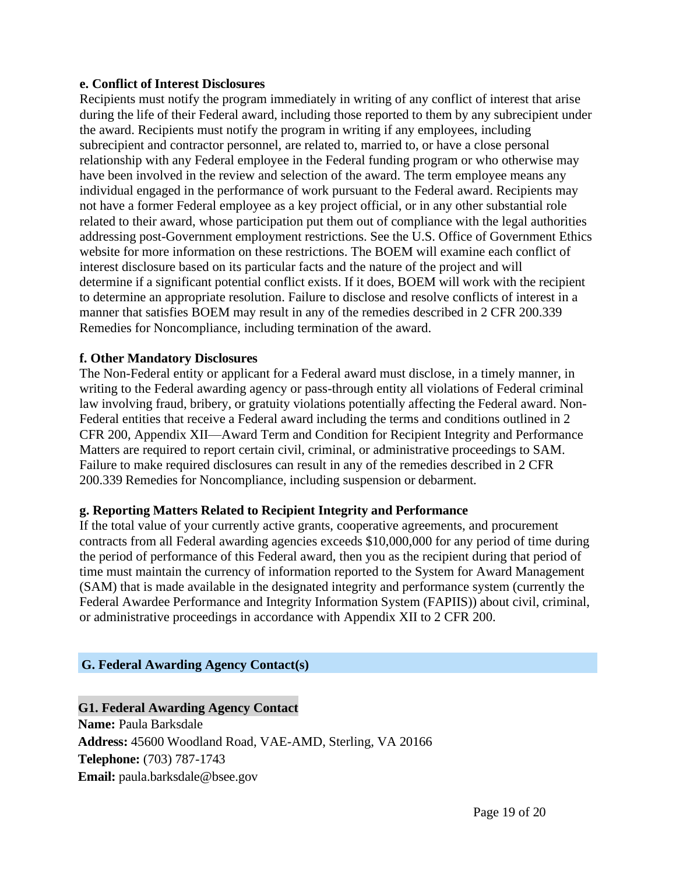#### **e. Conflict of Interest Disclosures**

Recipients must notify the program immediately in writing of any conflict of interest that arise during the life of their Federal award, including those reported to them by any subrecipient under the award. Recipients must notify the program in writing if any employees, including subrecipient and contractor personnel, are related to, married to, or have a close personal relationship with any Federal employee in the Federal funding program or who otherwise may have been involved in the review and selection of the award. The term employee means any individual engaged in the performance of work pursuant to the Federal award. Recipients may not have a former Federal employee as a key project official, or in any other substantial role related to their award, whose participation put them out of compliance with the legal authorities addressing post-Government employment restrictions. See the U.S. Office of Government Ethics website for more information on these restrictions. The BOEM will examine each conflict of interest disclosure based on its particular facts and the nature of the project and will determine if a significant potential conflict exists. If it does, BOEM will work with the recipient to determine an appropriate resolution. Failure to disclose and resolve conflicts of interest in a manner that satisfies BOEM may result in any of the remedies described in 2 CFR 200.339 Remedies for Noncompliance, including termination of the award.

## **f. Other Mandatory Disclosures**

The Non-Federal entity or applicant for a Federal award must disclose, in a timely manner, in writing to the Federal awarding agency or pass-through entity all violations of Federal criminal law involving fraud, bribery, or gratuity violations potentially affecting the Federal award. Non-Federal entities that receive a Federal award including the terms and conditions outlined in 2 CFR 200, Appendix XII—Award Term and Condition for Recipient Integrity and Performance Matters are required to report certain civil, criminal, or administrative proceedings to SAM. Failure to make required disclosures can result in any of the remedies described in 2 CFR 200.339 Remedies for Noncompliance, including suspension or debarment.

#### **g. Reporting Matters Related to Recipient Integrity and Performance**

If the total value of your currently active grants, cooperative agreements, and procurement contracts from all Federal awarding agencies exceeds \$10,000,000 for any period of time during the period of performance of this Federal award, then you as the recipient during that period of time must maintain the currency of information reported to the System for Award Management (SAM) that is made available in the designated integrity and performance system (currently the Federal Awardee Performance and Integrity Information System (FAPIIS)) about civil, criminal, or administrative proceedings in accordance with Appendix XII to 2 CFR 200.

# **G. Federal Awarding Agency Contact(s)**

**G1. Federal Awarding Agency Contact Name:** Paula Barksdale **Address:** 45600 Woodland Road, VAE-AMD, Sterling, VA 20166 **Telephone:** (703) 787-1743 **Email:** [paula.barksda](mailto:paula.barksdale@bsee.gov)[le@bsee.gov](mailto:le@bsee.gov)